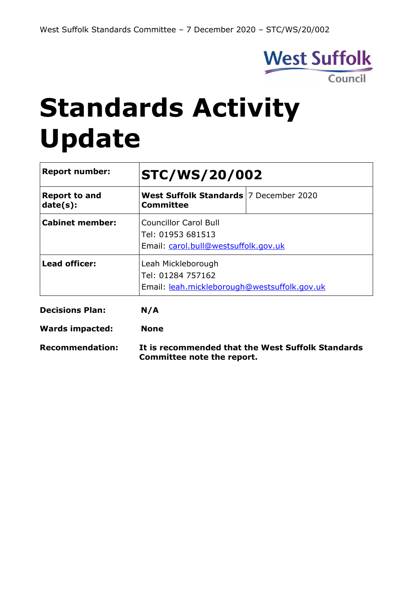

# **Standards Activity Update**

| <b>Report number:</b>            | <b>STC/WS/20/002</b>                                                                      |  |  |
|----------------------------------|-------------------------------------------------------------------------------------------|--|--|
| <b>Report to and</b><br>date(s): | West Suffolk Standards 7 December 2020<br>Committee                                       |  |  |
| <b>Cabinet member:</b>           | <b>Councillor Carol Bull</b><br>Tel: 01953 681513<br>Email: carol.bull@westsuffolk.gov.uk |  |  |
| Lead officer:                    | Leah Mickleborough<br>Tel: 01284 757162<br>Email: leah.mickleborough@westsuffolk.gov.uk   |  |  |
| <b>Decisions Plan:</b>           | N/A                                                                                       |  |  |
| <b>Wards impacted:</b>           | <b>None</b>                                                                               |  |  |
| <b>Recommendation:</b>           | It is recommended that the West Suffolk Standards                                         |  |  |

**Committee note the report.**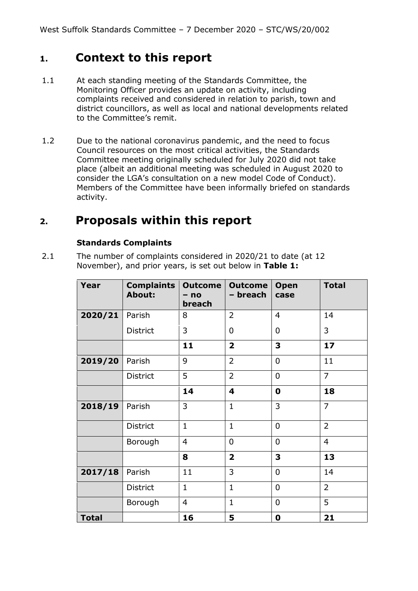# **1. Context to this report**

- 1.1 At each standing meeting of the Standards Committee, the Monitoring Officer provides an update on activity, including complaints received and considered in relation to parish, town and district councillors, as well as local and national developments related to the Committee's remit.
- 1.2 Due to the national coronavirus pandemic, and the need to focus Council resources on the most critical activities, the Standards Committee meeting originally scheduled for July 2020 did not take place (albeit an additional meeting was scheduled in August 2020 to consider the LGA's consultation on a new model Code of Conduct). Members of the Committee have been informally briefed on standards activity.

# **2. Proposals within this report**

#### **Standards Complaints**

2.1 The number of complaints considered in 2020/21 to date (at 12 November), and prior years, is set out below in **Table 1:**

| Year         | <b>Complaints</b><br><b>About:</b> | <b>Outcome</b><br>$- no$<br>breach | <b>Outcome</b><br>- breach | <b>Open</b><br>case | <b>Total</b>   |
|--------------|------------------------------------|------------------------------------|----------------------------|---------------------|----------------|
| 2020/21      | Parish                             | 8                                  | $\overline{2}$             | $\overline{4}$      | 14             |
|              | District                           | 3                                  | $\mathbf 0$                | $\overline{0}$      | 3              |
|              |                                    | 11                                 | $\overline{\mathbf{2}}$    | 3                   | 17             |
| 2019/20      | Parish                             | 9                                  | $\overline{2}$             | $\overline{0}$      | 11             |
|              | District                           | 5                                  | $\overline{2}$             | $\overline{0}$      | $\overline{7}$ |
|              |                                    | 14                                 | $\overline{\mathbf{4}}$    | $\mathbf 0$         | 18             |
| 2018/19      | Parish                             | 3                                  | $\mathbf{1}$               | 3                   | $\overline{7}$ |
|              | District                           | $\mathbf{1}$                       | $\mathbf{1}$               | $\overline{0}$      | $\overline{2}$ |
|              | Borough                            | $\overline{4}$                     | $\mathbf 0$                | $\overline{0}$      | $\overline{4}$ |
|              |                                    | 8                                  | $\overline{\mathbf{2}}$    | 3                   | 13             |
| 2017/18      | Parish                             | 11                                 | 3                          | $\overline{0}$      | 14             |
|              | <b>District</b>                    | $\mathbf{1}$                       | $\mathbf{1}$               | $\overline{0}$      | $\overline{2}$ |
|              | Borough                            | $\overline{4}$                     | $\mathbf{1}$               | $\overline{0}$      | 5              |
| <b>Total</b> |                                    | 16                                 | 5                          | $\mathbf 0$         | 21             |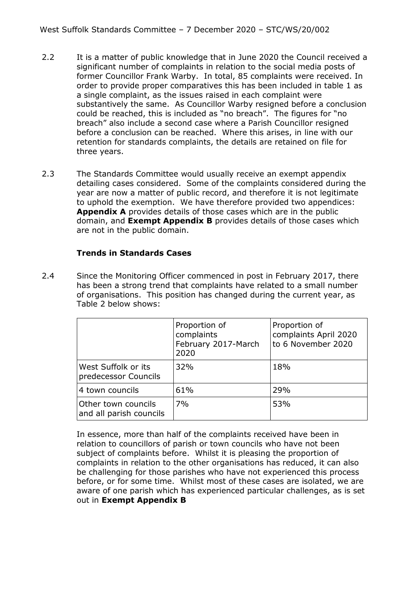- 2.2 It is a matter of public knowledge that in June 2020 the Council received a significant number of complaints in relation to the social media posts of former Councillor Frank Warby. In total, 85 complaints were received. In order to provide proper comparatives this has been included in table 1 as a single complaint, as the issues raised in each complaint were substantively the same. As Councillor Warby resigned before a conclusion could be reached, this is included as "no breach". The figures for "no breach" also include a second case where a Parish Councillor resigned before a conclusion can be reached. Where this arises, in line with our retention for standards complaints, the details are retained on file for three years.
- 2.3 The Standards Committee would usually receive an exempt appendix detailing cases considered. Some of the complaints considered during the year are now a matter of public record, and therefore it is not legitimate to uphold the exemption. We have therefore provided two appendices: **Appendix A** provides details of those cases which are in the public domain, and **Exempt Appendix B** provides details of those cases which are not in the public domain.

#### **Trends in Standards Cases**

2.4 Since the Monitoring Officer commenced in post in February 2017, there has been a strong trend that complaints have related to a small number of organisations. This position has changed during the current year, as Table 2 below shows:

|                                                | Proportion of<br>complaints<br>February 2017-March<br>2020 | Proportion of<br>complaints April 2020<br>to 6 November 2020 |
|------------------------------------------------|------------------------------------------------------------|--------------------------------------------------------------|
| West Suffolk or its<br>predecessor Councils    | 32%                                                        | 18%                                                          |
| 4 town councils                                | 61%                                                        | 29%                                                          |
| Other town councils<br>and all parish councils | 7%                                                         | 53%                                                          |

In essence, more than half of the complaints received have been in relation to councillors of parish or town councils who have not been subject of complaints before. Whilst it is pleasing the proportion of complaints in relation to the other organisations has reduced, it can also be challenging for those parishes who have not experienced this process before, or for some time. Whilst most of these cases are isolated, we are aware of one parish which has experienced particular challenges, as is set out in **Exempt Appendix B**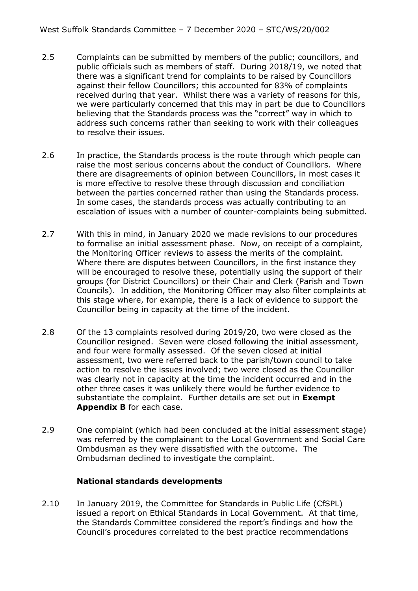- 2.5 Complaints can be submitted by members of the public; councillors, and public officials such as members of staff. During 2018/19, we noted that there was a significant trend for complaints to be raised by Councillors against their fellow Councillors; this accounted for 83% of complaints received during that year. Whilst there was a variety of reasons for this, we were particularly concerned that this may in part be due to Councillors believing that the Standards process was the "correct" way in which to address such concerns rather than seeking to work with their colleagues to resolve their issues.
- 2.6 In practice, the Standards process is the route through which people can raise the most serious concerns about the conduct of Councillors. Where there are disagreements of opinion between Councillors, in most cases it is more effective to resolve these through discussion and conciliation between the parties concerned rather than using the Standards process. In some cases, the standards process was actually contributing to an escalation of issues with a number of counter-complaints being submitted.
- 2.7 With this in mind, in January 2020 we made revisions to our procedures to formalise an initial assessment phase. Now, on receipt of a complaint, the Monitoring Officer reviews to assess the merits of the complaint. Where there are disputes between Councillors, in the first instance they will be encouraged to resolve these, potentially using the support of their groups (for District Councillors) or their Chair and Clerk (Parish and Town Councils). In addition, the Monitoring Officer may also filter complaints at this stage where, for example, there is a lack of evidence to support the Councillor being in capacity at the time of the incident.
- 2.8 Of the 13 complaints resolved during 2019/20, two were closed as the Councillor resigned. Seven were closed following the initial assessment, and four were formally assessed. Of the seven closed at initial assessment, two were referred back to the parish/town council to take action to resolve the issues involved; two were closed as the Councillor was clearly not in capacity at the time the incident occurred and in the other three cases it was unlikely there would be further evidence to substantiate the complaint. Further details are set out in **Exempt Appendix B** for each case.
- 2.9 One complaint (which had been concluded at the initial assessment stage) was referred by the complainant to the Local Government and Social Care Ombdusman as they were dissatisfied with the outcome. The Ombudsman declined to investigate the complaint.

#### **National standards developments**

2.10 In January 2019, the Committee for Standards in Public Life (CfSPL) issued a report on Ethical Standards in Local Government. At that time, the Standards Committee considered the report's findings and how the Council's procedures correlated to the best practice recommendations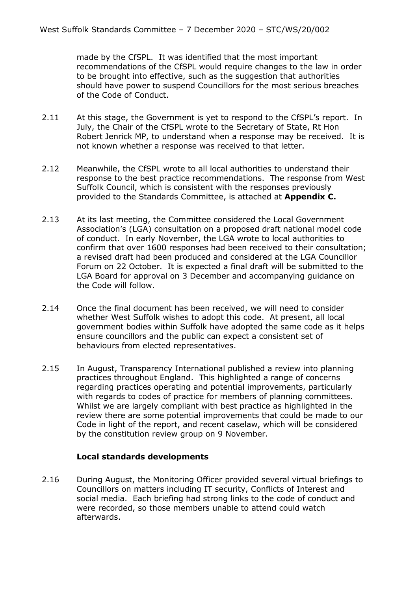made by the CfSPL. It was identified that the most important recommendations of the CfSPL would require changes to the law in order to be brought into effective, such as the suggestion that authorities should have power to suspend Councillors for the most serious breaches of the Code of Conduct.

- 2.11 At this stage, the Government is yet to respond to the CfSPL's report. In July, the Chair of the CfSPL wrote to the Secretary of State, Rt Hon Robert Jenrick MP, to understand when a response may be received. It is not known whether a response was received to that letter.
- 2.12 Meanwhile, the CfSPL wrote to all local authorities to understand their response to the best practice recommendations. The response from West Suffolk Council, which is consistent with the responses previously provided to the Standards Committee, is attached at **Appendix C.**
- 2.13 At its last meeting, the Committee considered the Local Government Association's (LGA) consultation on a proposed draft national model code of conduct. In early November, the LGA wrote to local authorities to confirm that over 1600 responses had been received to their consultation; a revised draft had been produced and considered at the LGA Councillor Forum on 22 October. It is expected a final draft will be submitted to the LGA Board for approval on 3 December and accompanying guidance on the Code will follow.
- 2.14 Once the final document has been received, we will need to consider whether West Suffolk wishes to adopt this code. At present, all local government bodies within Suffolk have adopted the same code as it helps ensure councillors and the public can expect a consistent set of behaviours from elected representatives.
- 2.15 In August, Transparency International published a review into planning practices throughout England. This highlighted a range of concerns regarding practices operating and potential improvements, particularly with regards to codes of practice for members of planning committees. Whilst we are largely compliant with best practice as highlighted in the review there are some potential improvements that could be made to our Code in light of the report, and recent caselaw, which will be considered by the constitution review group on 9 November.

#### **Local standards developments**

2.16 During August, the Monitoring Officer provided several virtual briefings to Councillors on matters including IT security, Conflicts of Interest and social media. Each briefing had strong links to the code of conduct and were recorded, so those members unable to attend could watch afterwards.